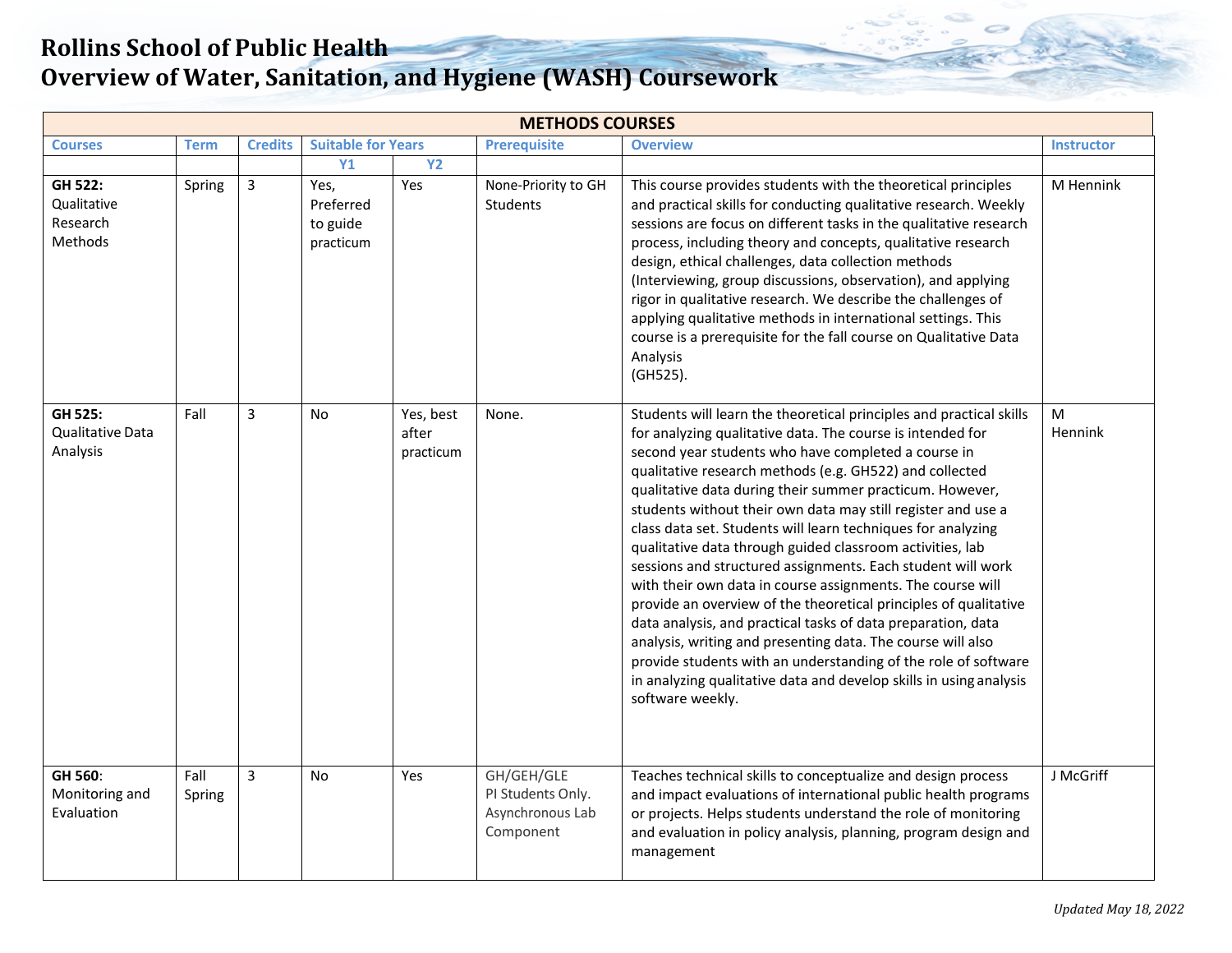| <b>METHODS COURSES</b>                                      |                |                |                                            |                                 |                                                                  |                                                                                                                                                                                                                                                                                                                                                                                                                                                                                                                                                                                                                                                                                                                                                                                                                                                                                                                                                                                                          |                   |  |  |  |  |
|-------------------------------------------------------------|----------------|----------------|--------------------------------------------|---------------------------------|------------------------------------------------------------------|----------------------------------------------------------------------------------------------------------------------------------------------------------------------------------------------------------------------------------------------------------------------------------------------------------------------------------------------------------------------------------------------------------------------------------------------------------------------------------------------------------------------------------------------------------------------------------------------------------------------------------------------------------------------------------------------------------------------------------------------------------------------------------------------------------------------------------------------------------------------------------------------------------------------------------------------------------------------------------------------------------|-------------------|--|--|--|--|
| <b>Courses</b>                                              | <b>Term</b>    | <b>Credits</b> | <b>Suitable for Years</b>                  |                                 | <b>Prerequisite</b>                                              | <b>Overview</b>                                                                                                                                                                                                                                                                                                                                                                                                                                                                                                                                                                                                                                                                                                                                                                                                                                                                                                                                                                                          | <b>Instructor</b> |  |  |  |  |
|                                                             |                |                | <b>Y1</b>                                  | <b>Y2</b>                       |                                                                  |                                                                                                                                                                                                                                                                                                                                                                                                                                                                                                                                                                                                                                                                                                                                                                                                                                                                                                                                                                                                          |                   |  |  |  |  |
| <b>GH 522:</b><br>Qualitative<br>Research<br><b>Methods</b> | Spring         | $\overline{3}$ | Yes,<br>Preferred<br>to guide<br>practicum | Yes                             | None-Priority to GH<br>Students                                  | This course provides students with the theoretical principles<br>and practical skills for conducting qualitative research. Weekly<br>sessions are focus on different tasks in the qualitative research<br>process, including theory and concepts, qualitative research<br>design, ethical challenges, data collection methods<br>(Interviewing, group discussions, observation), and applying<br>rigor in qualitative research. We describe the challenges of<br>applying qualitative methods in international settings. This<br>course is a prerequisite for the fall course on Qualitative Data<br>Analysis<br>(GH525).                                                                                                                                                                                                                                                                                                                                                                                | M Hennink         |  |  |  |  |
| GH 525:<br>Qualitative Data<br>Analysis                     | Fall           | 3              | <b>No</b>                                  | Yes, best<br>after<br>practicum | None.                                                            | Students will learn the theoretical principles and practical skills<br>for analyzing qualitative data. The course is intended for<br>second year students who have completed a course in<br>qualitative research methods (e.g. GH522) and collected<br>qualitative data during their summer practicum. However,<br>students without their own data may still register and use a<br>class data set. Students will learn techniques for analyzing<br>qualitative data through guided classroom activities, lab<br>sessions and structured assignments. Each student will work<br>with their own data in course assignments. The course will<br>provide an overview of the theoretical principles of qualitative<br>data analysis, and practical tasks of data preparation, data<br>analysis, writing and presenting data. The course will also<br>provide students with an understanding of the role of software<br>in analyzing qualitative data and develop skills in using analysis<br>software weekly. | М<br>Hennink      |  |  |  |  |
| GH 560:<br>Monitoring and<br>Evaluation                     | Fall<br>Spring | $\overline{3}$ | <b>No</b>                                  | Yes                             | GH/GEH/GLE<br>PI Students Only.<br>Asynchronous Lab<br>Component | Teaches technical skills to conceptualize and design process<br>and impact evaluations of international public health programs<br>or projects. Helps students understand the role of monitoring<br>and evaluation in policy analysis, planning, program design and<br>management                                                                                                                                                                                                                                                                                                                                                                                                                                                                                                                                                                                                                                                                                                                         | J McGriff         |  |  |  |  |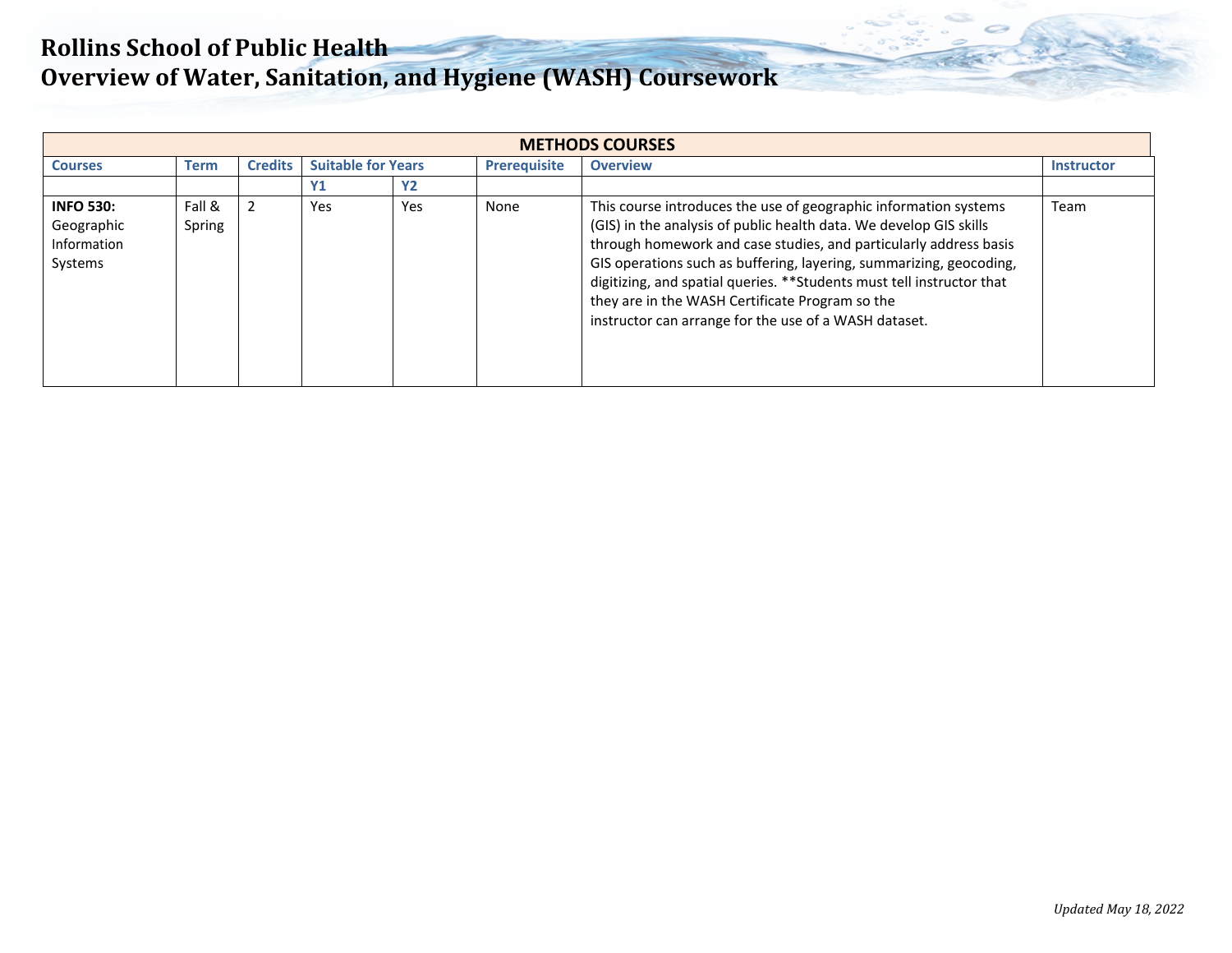| <b>METHODS COURSES</b>                                   |                  |                |                           |           |                     |                                                                                                                                                                                                                                                                                                                                                                                                                                                                          |                   |  |  |  |  |  |
|----------------------------------------------------------|------------------|----------------|---------------------------|-----------|---------------------|--------------------------------------------------------------------------------------------------------------------------------------------------------------------------------------------------------------------------------------------------------------------------------------------------------------------------------------------------------------------------------------------------------------------------------------------------------------------------|-------------------|--|--|--|--|--|
| <b>Courses</b>                                           | <b>Term</b>      | <b>Credits</b> | <b>Suitable for Years</b> |           | <b>Prerequisite</b> | <b>Overview</b>                                                                                                                                                                                                                                                                                                                                                                                                                                                          | <b>Instructor</b> |  |  |  |  |  |
|                                                          |                  |                | <b>Y1</b>                 | <b>Y2</b> |                     |                                                                                                                                                                                                                                                                                                                                                                                                                                                                          |                   |  |  |  |  |  |
| <b>INFO 530:</b><br>Geographic<br>Information<br>Systems | Fall &<br>Spring |                | Yes                       | Yes       | None                | This course introduces the use of geographic information systems<br>(GIS) in the analysis of public health data. We develop GIS skills<br>through homework and case studies, and particularly address basis<br>GIS operations such as buffering, layering, summarizing, geocoding,<br>digitizing, and spatial queries. ** Students must tell instructor that<br>they are in the WASH Certificate Program so the<br>instructor can arrange for the use of a WASH dataset. | Team              |  |  |  |  |  |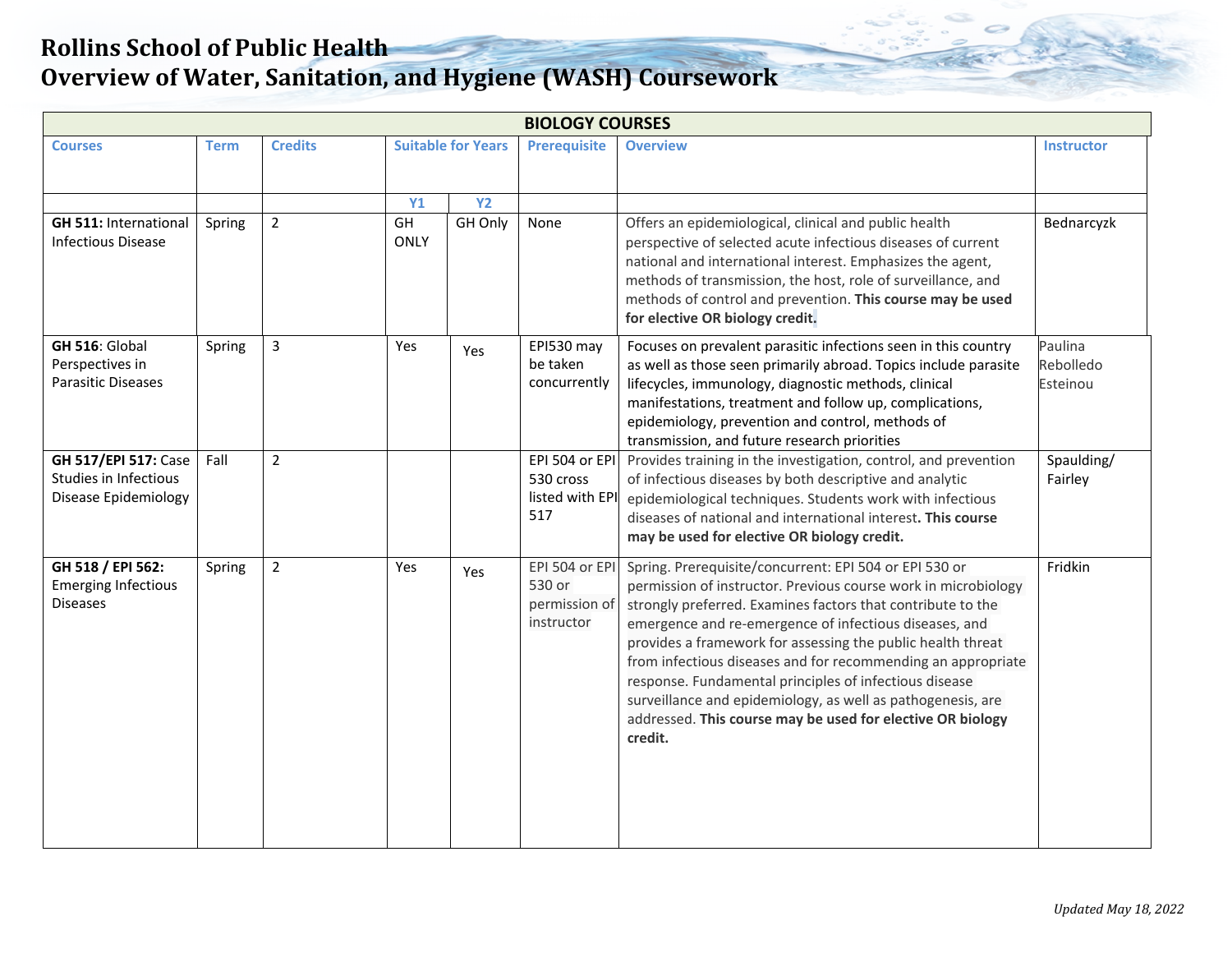| <b>BIOLOGY COURSES</b>                                                              |             |                |                                |                           |                                                         |                                                                                                                                                                                                                                                                                                                                                                                                                                                                                                                                                                                    |                                  |  |  |  |  |
|-------------------------------------------------------------------------------------|-------------|----------------|--------------------------------|---------------------------|---------------------------------------------------------|------------------------------------------------------------------------------------------------------------------------------------------------------------------------------------------------------------------------------------------------------------------------------------------------------------------------------------------------------------------------------------------------------------------------------------------------------------------------------------------------------------------------------------------------------------------------------------|----------------------------------|--|--|--|--|
| <b>Courses</b>                                                                      | <b>Term</b> | <b>Credits</b> |                                | <b>Suitable for Years</b> | <b>Prerequisite</b>                                     | <b>Overview</b>                                                                                                                                                                                                                                                                                                                                                                                                                                                                                                                                                                    | <b>Instructor</b>                |  |  |  |  |
| <b>GH 511: International</b><br><b>Infectious Disease</b>                           | Spring      | $\overline{2}$ | <b>Y1</b><br>GH<br><b>ONLY</b> | <b>Y2</b><br>GH Only      | None                                                    | Offers an epidemiological, clinical and public health<br>perspective of selected acute infectious diseases of current<br>national and international interest. Emphasizes the agent,<br>methods of transmission, the host, role of surveillance, and<br>methods of control and prevention. This course may be used<br>for elective OR biology credit.                                                                                                                                                                                                                               | Bednarcyzk                       |  |  |  |  |
| GH 516: Global<br>Perspectives in<br><b>Parasitic Diseases</b>                      | Spring      | 3              | Yes                            | Yes                       | EPI530 may<br>be taken<br>concurrently                  | Focuses on prevalent parasitic infections seen in this country<br>as well as those seen primarily abroad. Topics include parasite<br>lifecycles, immunology, diagnostic methods, clinical<br>manifestations, treatment and follow up, complications,<br>epidemiology, prevention and control, methods of<br>transmission, and future research priorities                                                                                                                                                                                                                           | Paulina<br>Rebolledo<br>Esteinou |  |  |  |  |
| <b>GH 517/EPI 517: Case</b><br>Studies in Infectious<br><b>Disease Epidemiology</b> | Fall        | $\overline{2}$ |                                |                           | EPI 504 or EPI<br>530 cross<br>listed with EPI<br>517   | Provides training in the investigation, control, and prevention<br>of infectious diseases by both descriptive and analytic<br>epidemiological techniques. Students work with infectious<br>diseases of national and international interest. This course<br>may be used for elective OR biology credit.                                                                                                                                                                                                                                                                             | Spaulding/<br>Fairley            |  |  |  |  |
| GH 518 / EPI 562:<br><b>Emerging Infectious</b><br><b>Diseases</b>                  | Spring      | $\overline{2}$ | <b>Yes</b>                     | Yes                       | EPI 504 or EPI<br>530 or<br>permission of<br>instructor | Spring. Prerequisite/concurrent: EPI 504 or EPI 530 or<br>permission of instructor. Previous course work in microbiology<br>strongly preferred. Examines factors that contribute to the<br>emergence and re-emergence of infectious diseases, and<br>provides a framework for assessing the public health threat<br>from infectious diseases and for recommending an appropriate<br>response. Fundamental principles of infectious disease<br>surveillance and epidemiology, as well as pathogenesis, are<br>addressed. This course may be used for elective OR biology<br>credit. | Fridkin                          |  |  |  |  |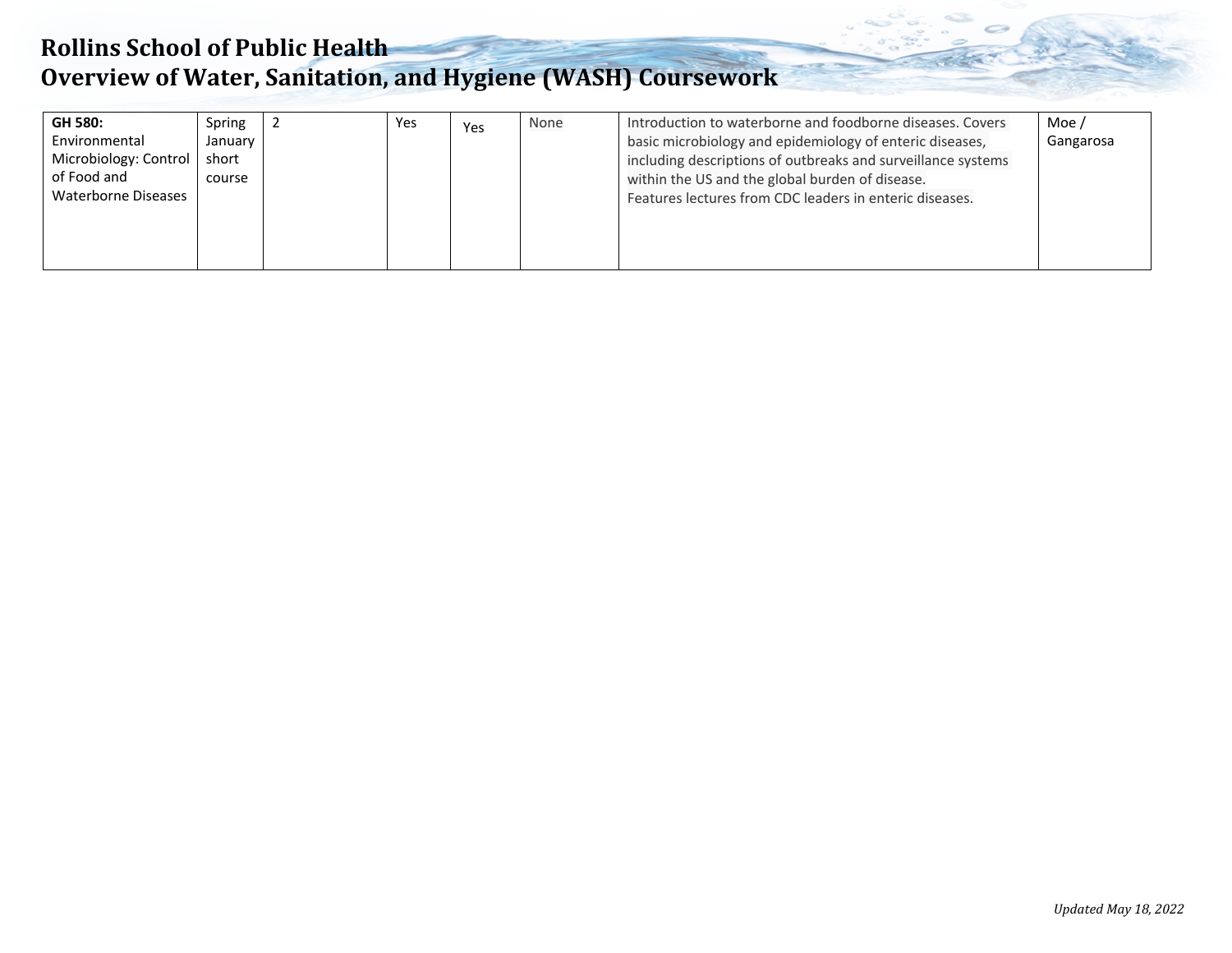## **Rollins School of Public Health Overview of Water, Sanitation, and Hygiene (WASH) Coursework**

| <b>GH 580:</b><br>Environmental<br>Microbiology: Control<br>of Food and<br>Waterborne Diseases | Spring<br>January<br>short<br>course |  | Yes | Yes | None | Introduction to waterborne and foodborne diseases. Covers<br>basic microbiology and epidemiology of enteric diseases,<br>including descriptions of outbreaks and surveillance systems<br>within the US and the global burden of disease.<br>Features lectures from CDC leaders in enteric diseases. | Moe /<br>Gangarosa |
|------------------------------------------------------------------------------------------------|--------------------------------------|--|-----|-----|------|-----------------------------------------------------------------------------------------------------------------------------------------------------------------------------------------------------------------------------------------------------------------------------------------------------|--------------------|
|------------------------------------------------------------------------------------------------|--------------------------------------|--|-----|-----|------|-----------------------------------------------------------------------------------------------------------------------------------------------------------------------------------------------------------------------------------------------------------------------------------------------------|--------------------|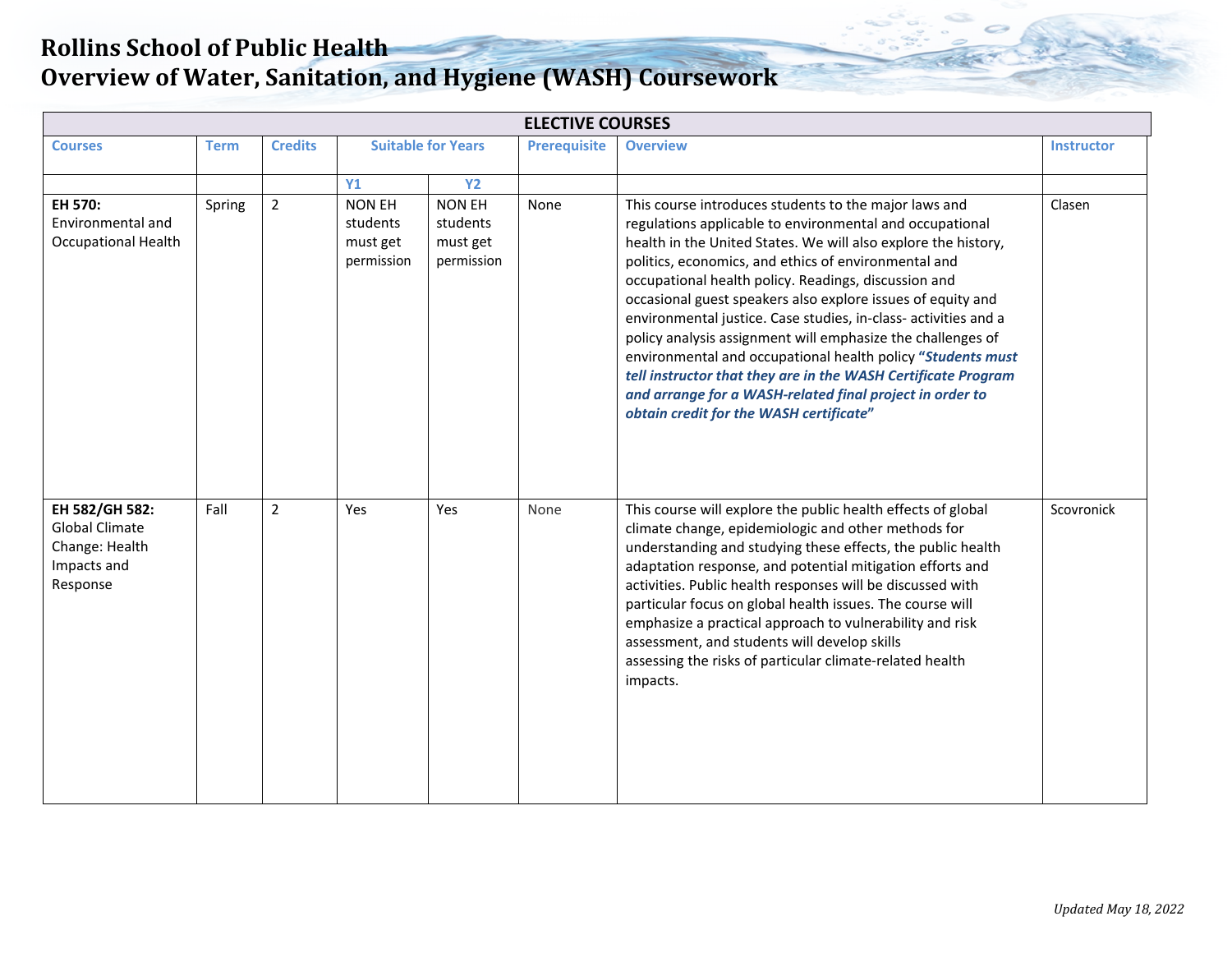| <b>ELECTIVE COURSES</b>                                                              |        |                |                                                     |                                                     |                     |                                                                                                                                                                                                                                                                                                                                                                                                                                                                                                                                                                                                                                                                                                                                             |                   |  |  |  |  |
|--------------------------------------------------------------------------------------|--------|----------------|-----------------------------------------------------|-----------------------------------------------------|---------------------|---------------------------------------------------------------------------------------------------------------------------------------------------------------------------------------------------------------------------------------------------------------------------------------------------------------------------------------------------------------------------------------------------------------------------------------------------------------------------------------------------------------------------------------------------------------------------------------------------------------------------------------------------------------------------------------------------------------------------------------------|-------------------|--|--|--|--|
| <b>Courses</b>                                                                       | Term   | <b>Credits</b> |                                                     | <b>Suitable for Years</b>                           | <b>Prerequisite</b> | <b>Overview</b>                                                                                                                                                                                                                                                                                                                                                                                                                                                                                                                                                                                                                                                                                                                             | <b>Instructor</b> |  |  |  |  |
|                                                                                      |        |                | <b>Y1</b>                                           | <b>Y2</b>                                           |                     |                                                                                                                                                                                                                                                                                                                                                                                                                                                                                                                                                                                                                                                                                                                                             |                   |  |  |  |  |
| EH 570:<br>Environmental and<br><b>Occupational Health</b>                           | Spring | $\overline{2}$ | <b>NON EH</b><br>students<br>must get<br>permission | <b>NON EH</b><br>students<br>must get<br>permission | None                | This course introduces students to the major laws and<br>regulations applicable to environmental and occupational<br>health in the United States. We will also explore the history,<br>politics, economics, and ethics of environmental and<br>occupational health policy. Readings, discussion and<br>occasional guest speakers also explore issues of equity and<br>environmental justice. Case studies, in-class- activities and a<br>policy analysis assignment will emphasize the challenges of<br>environmental and occupational health policy "Students must<br>tell instructor that they are in the WASH Certificate Program<br>and arrange for a WASH-related final project in order to<br>obtain credit for the WASH certificate" | Clasen            |  |  |  |  |
| EH 582/GH 582:<br><b>Global Climate</b><br>Change: Health<br>Impacts and<br>Response | Fall   | $\overline{2}$ | Yes                                                 | Yes                                                 | None                | This course will explore the public health effects of global<br>climate change, epidemiologic and other methods for<br>understanding and studying these effects, the public health<br>adaptation response, and potential mitigation efforts and<br>activities. Public health responses will be discussed with<br>particular focus on global health issues. The course will<br>emphasize a practical approach to vulnerability and risk<br>assessment, and students will develop skills<br>assessing the risks of particular climate-related health<br>impacts.                                                                                                                                                                              | Scovronick        |  |  |  |  |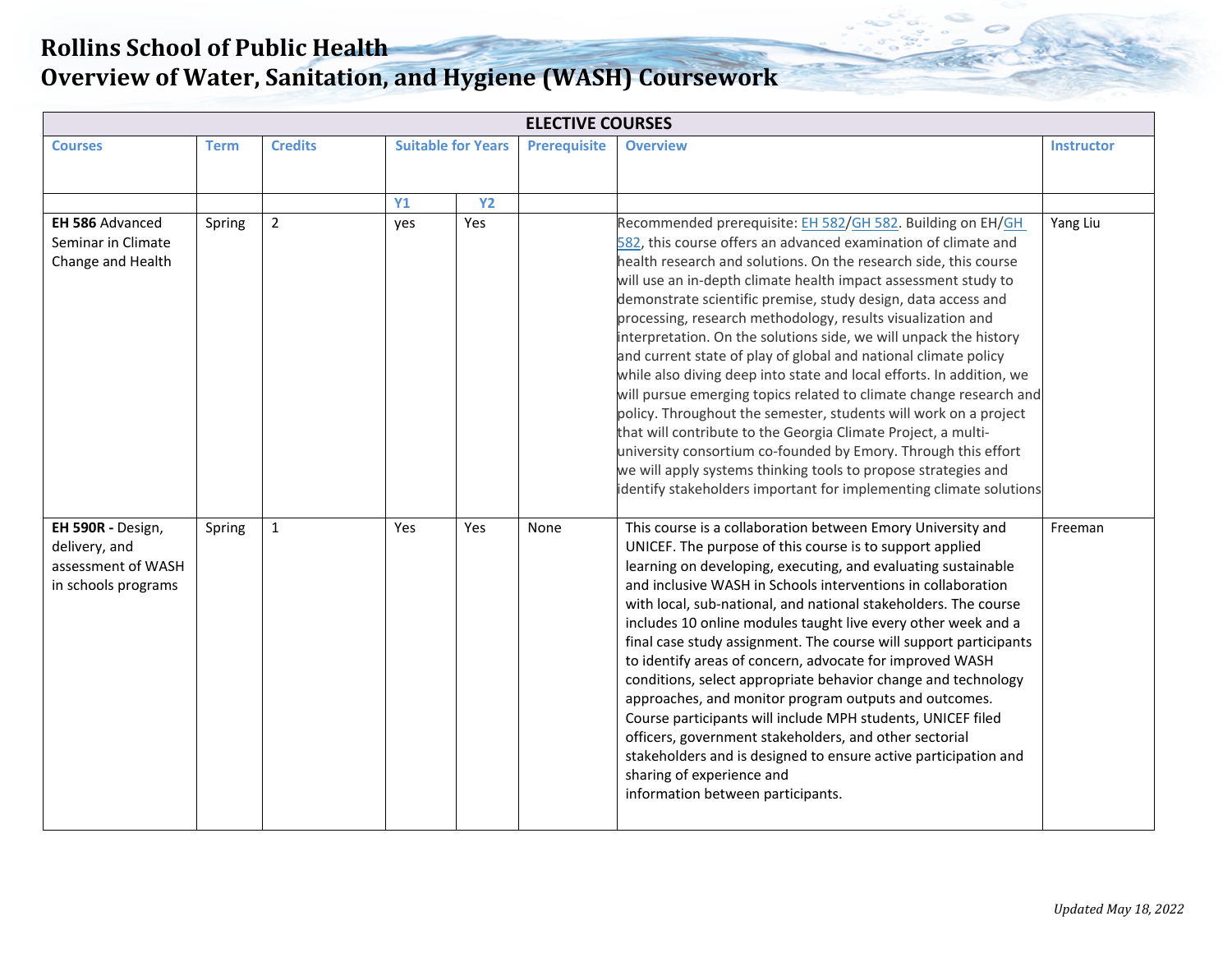| <b>ELECTIVE COURSES</b> |             |                |                           |           |                     |                                                                                                                                      |                   |  |  |  |  |
|-------------------------|-------------|----------------|---------------------------|-----------|---------------------|--------------------------------------------------------------------------------------------------------------------------------------|-------------------|--|--|--|--|
| <b>Courses</b>          | <b>Term</b> | <b>Credits</b> | <b>Suitable for Years</b> |           | <b>Prerequisite</b> | <b>Overview</b>                                                                                                                      | <b>Instructor</b> |  |  |  |  |
|                         |             |                |                           |           |                     |                                                                                                                                      |                   |  |  |  |  |
|                         |             |                | <b>Y1</b>                 | <b>Y2</b> |                     |                                                                                                                                      |                   |  |  |  |  |
| EH 586 Advanced         | Spring      | $\overline{2}$ | yes                       | Yes       |                     | Recommended prerequisite: EH 582/GH 582. Building on EH/GH                                                                           | Yang Liu          |  |  |  |  |
| Seminar in Climate      |             |                |                           |           |                     | 582, this course offers an advanced examination of climate and                                                                       |                   |  |  |  |  |
| Change and Health       |             |                |                           |           |                     | health research and solutions. On the research side, this course                                                                     |                   |  |  |  |  |
|                         |             |                |                           |           |                     | will use an in-depth climate health impact assessment study to                                                                       |                   |  |  |  |  |
|                         |             |                |                           |           |                     | demonstrate scientific premise, study design, data access and<br>processing, research methodology, results visualization and         |                   |  |  |  |  |
|                         |             |                |                           |           |                     | interpretation. On the solutions side, we will unpack the history                                                                    |                   |  |  |  |  |
|                         |             |                |                           |           |                     | and current state of play of global and national climate policy                                                                      |                   |  |  |  |  |
|                         |             |                |                           |           |                     | while also diving deep into state and local efforts. In addition, we                                                                 |                   |  |  |  |  |
|                         |             |                |                           |           |                     | will pursue emerging topics related to climate change research and                                                                   |                   |  |  |  |  |
|                         |             |                |                           |           |                     | policy. Throughout the semester, students will work on a project                                                                     |                   |  |  |  |  |
|                         |             |                |                           |           |                     | that will contribute to the Georgia Climate Project, a multi-                                                                        |                   |  |  |  |  |
|                         |             |                |                           |           |                     | university consortium co-founded by Emory. Through this effort                                                                       |                   |  |  |  |  |
|                         |             |                |                           |           |                     | we will apply systems thinking tools to propose strategies and<br>identify stakeholders important for implementing climate solutions |                   |  |  |  |  |
|                         |             |                |                           |           |                     |                                                                                                                                      |                   |  |  |  |  |
| EH 590R - Design,       | Spring      | $\mathbf{1}$   | Yes                       | Yes       | None                | This course is a collaboration between Emory University and                                                                          | Freeman           |  |  |  |  |
| delivery, and           |             |                |                           |           |                     | UNICEF. The purpose of this course is to support applied                                                                             |                   |  |  |  |  |
| assessment of WASH      |             |                |                           |           |                     | learning on developing, executing, and evaluating sustainable                                                                        |                   |  |  |  |  |
| in schools programs     |             |                |                           |           |                     | and inclusive WASH in Schools interventions in collaboration                                                                         |                   |  |  |  |  |
|                         |             |                |                           |           |                     | with local, sub-national, and national stakeholders. The course<br>includes 10 online modules taught live every other week and a     |                   |  |  |  |  |
|                         |             |                |                           |           |                     | final case study assignment. The course will support participants                                                                    |                   |  |  |  |  |
|                         |             |                |                           |           |                     | to identify areas of concern, advocate for improved WASH                                                                             |                   |  |  |  |  |
|                         |             |                |                           |           |                     | conditions, select appropriate behavior change and technology                                                                        |                   |  |  |  |  |
|                         |             |                |                           |           |                     | approaches, and monitor program outputs and outcomes.                                                                                |                   |  |  |  |  |
|                         |             |                |                           |           |                     | Course participants will include MPH students, UNICEF filed                                                                          |                   |  |  |  |  |
|                         |             |                |                           |           |                     | officers, government stakeholders, and other sectorial                                                                               |                   |  |  |  |  |
|                         |             |                |                           |           |                     | stakeholders and is designed to ensure active participation and<br>sharing of experience and                                         |                   |  |  |  |  |
|                         |             |                |                           |           |                     | information between participants.                                                                                                    |                   |  |  |  |  |
|                         |             |                |                           |           |                     |                                                                                                                                      |                   |  |  |  |  |
|                         |             |                |                           |           |                     |                                                                                                                                      |                   |  |  |  |  |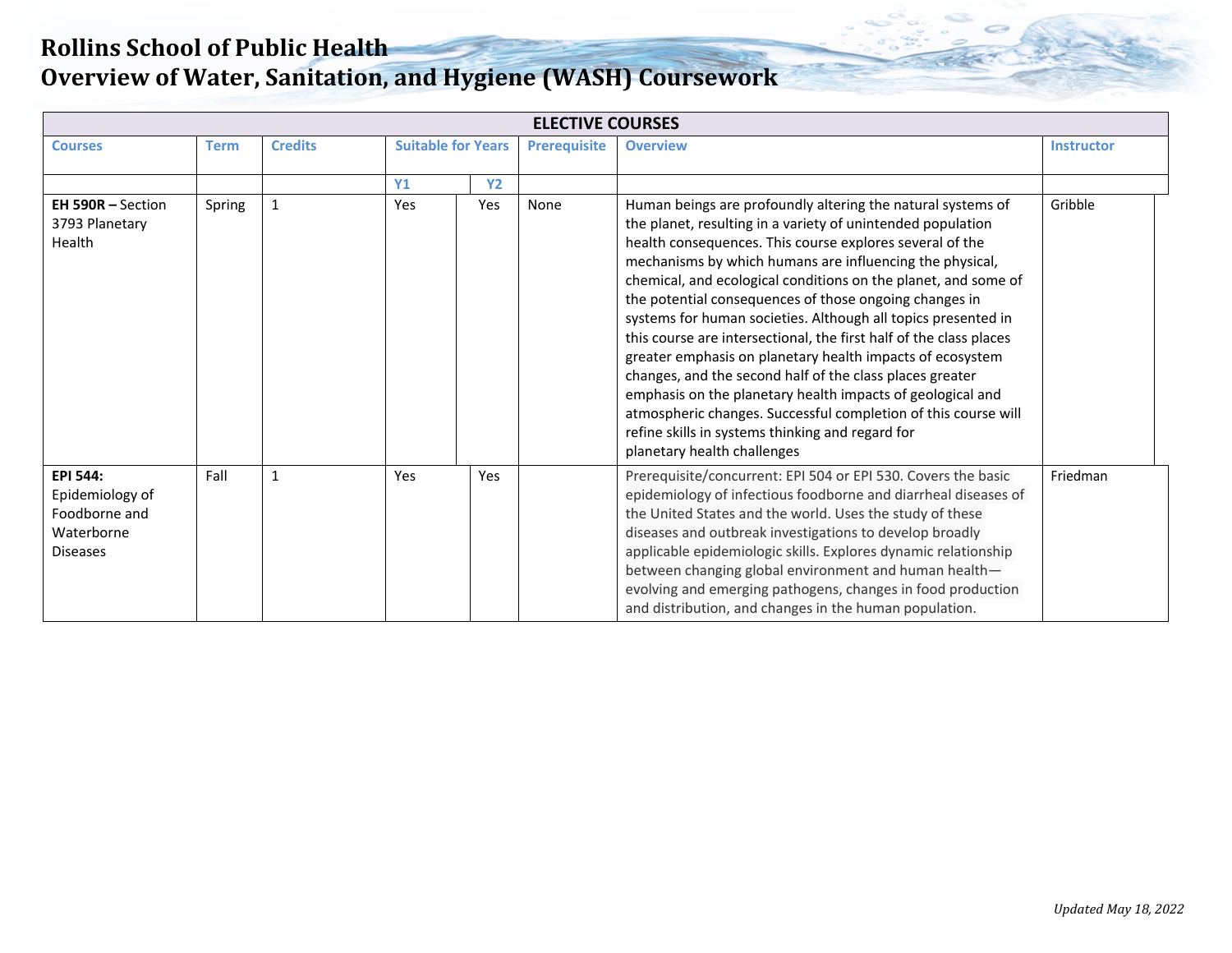| <b>ELECTIVE COURSES</b>                                                       |             |                |                                                  |           |      |                                                                                                                                                                                                                                                                                                                                                                                                                                                                                                                                                                                                                                                                                                                                                                                                                                                                   |                   |  |  |  |  |
|-------------------------------------------------------------------------------|-------------|----------------|--------------------------------------------------|-----------|------|-------------------------------------------------------------------------------------------------------------------------------------------------------------------------------------------------------------------------------------------------------------------------------------------------------------------------------------------------------------------------------------------------------------------------------------------------------------------------------------------------------------------------------------------------------------------------------------------------------------------------------------------------------------------------------------------------------------------------------------------------------------------------------------------------------------------------------------------------------------------|-------------------|--|--|--|--|
| <b>Courses</b>                                                                | <b>Term</b> | <b>Credits</b> | <b>Suitable for Years</b><br><b>Prerequisite</b> |           |      | <b>Overview</b>                                                                                                                                                                                                                                                                                                                                                                                                                                                                                                                                                                                                                                                                                                                                                                                                                                                   | <b>Instructor</b> |  |  |  |  |
|                                                                               |             |                | <b>Y1</b>                                        | <b>Y2</b> |      |                                                                                                                                                                                                                                                                                                                                                                                                                                                                                                                                                                                                                                                                                                                                                                                                                                                                   |                   |  |  |  |  |
| <b>EH 590R - Section</b><br>3793 Planetary<br>Health                          | Spring      | $\mathbf{1}$   | Yes                                              | Yes       | None | Human beings are profoundly altering the natural systems of<br>the planet, resulting in a variety of unintended population<br>health consequences. This course explores several of the<br>mechanisms by which humans are influencing the physical,<br>chemical, and ecological conditions on the planet, and some of<br>the potential consequences of those ongoing changes in<br>systems for human societies. Although all topics presented in<br>this course are intersectional, the first half of the class places<br>greater emphasis on planetary health impacts of ecosystem<br>changes, and the second half of the class places greater<br>emphasis on the planetary health impacts of geological and<br>atmospheric changes. Successful completion of this course will<br>refine skills in systems thinking and regard for<br>planetary health challenges | Gribble           |  |  |  |  |
| EPI 544:<br>Epidemiology of<br>Foodborne and<br>Waterborne<br><b>Diseases</b> | Fall        | $\mathbf{1}$   | Yes                                              | Yes       |      | Prerequisite/concurrent: EPI 504 or EPI 530. Covers the basic<br>epidemiology of infectious foodborne and diarrheal diseases of<br>the United States and the world. Uses the study of these<br>diseases and outbreak investigations to develop broadly<br>applicable epidemiologic skills. Explores dynamic relationship<br>between changing global environment and human health-<br>evolving and emerging pathogens, changes in food production<br>and distribution, and changes in the human population.                                                                                                                                                                                                                                                                                                                                                        | Friedman          |  |  |  |  |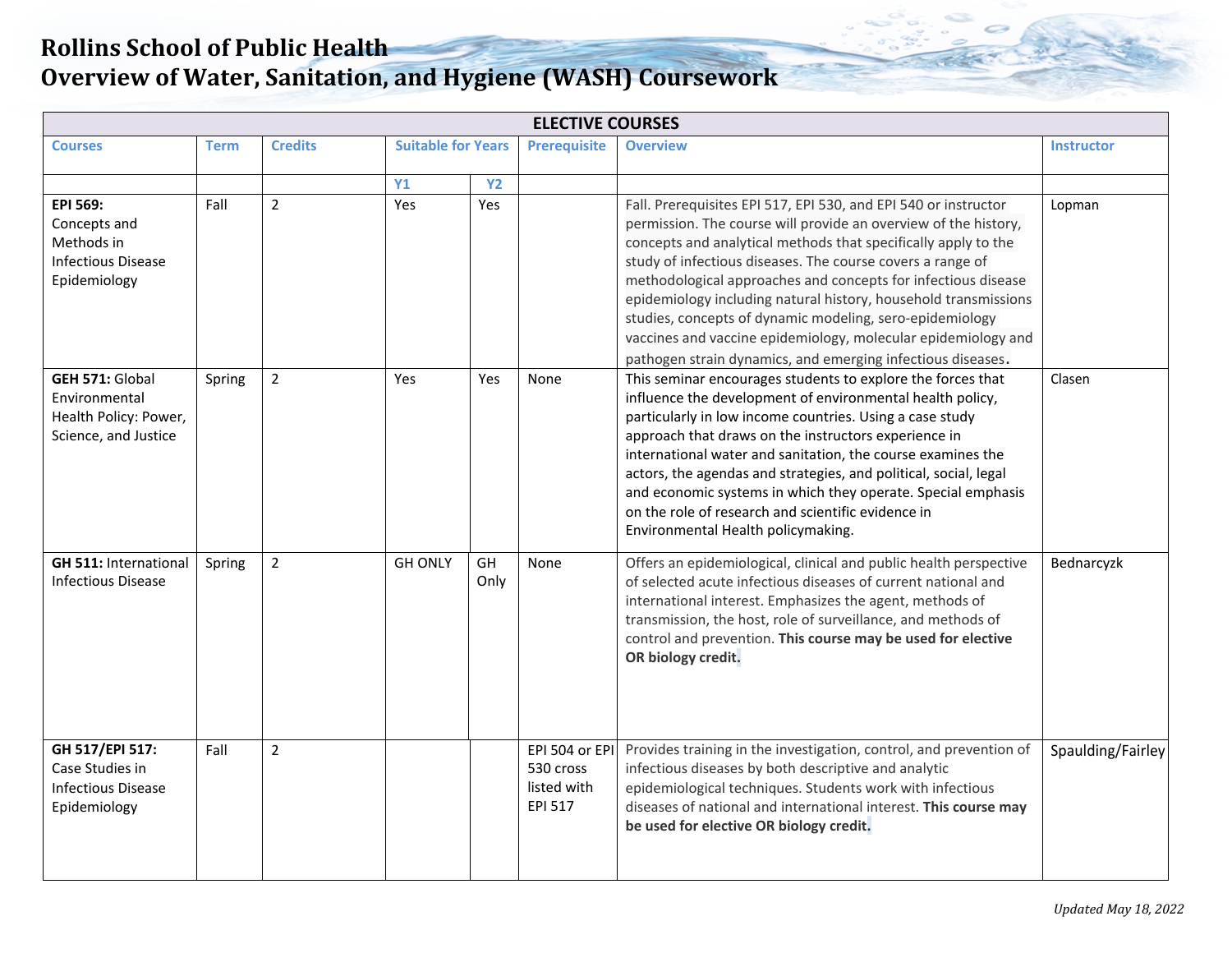| <b>ELECTIVE COURSES</b>                                                                  |             |                |                           |            |                                                       |                                                                                                                                                                                                                                                                                                                                                                                                                                                                                                                                                                                                    |                   |  |  |  |  |  |
|------------------------------------------------------------------------------------------|-------------|----------------|---------------------------|------------|-------------------------------------------------------|----------------------------------------------------------------------------------------------------------------------------------------------------------------------------------------------------------------------------------------------------------------------------------------------------------------------------------------------------------------------------------------------------------------------------------------------------------------------------------------------------------------------------------------------------------------------------------------------------|-------------------|--|--|--|--|--|
| <b>Courses</b>                                                                           | <b>Term</b> | <b>Credits</b> | <b>Suitable for Years</b> |            | <b>Prerequisite</b>                                   | <b>Overview</b>                                                                                                                                                                                                                                                                                                                                                                                                                                                                                                                                                                                    | <b>Instructor</b> |  |  |  |  |  |
|                                                                                          |             |                | Y1                        | <b>Y2</b>  |                                                       |                                                                                                                                                                                                                                                                                                                                                                                                                                                                                                                                                                                                    |                   |  |  |  |  |  |
| EPI 569:<br>Concepts and<br>Methods in<br><b>Infectious Disease</b><br>Epidemiology      | Fall        | $\overline{2}$ | Yes                       | Yes        |                                                       | Fall. Prerequisites EPI 517, EPI 530, and EPI 540 or instructor<br>permission. The course will provide an overview of the history,<br>concepts and analytical methods that specifically apply to the<br>study of infectious diseases. The course covers a range of<br>methodological approaches and concepts for infectious disease<br>epidemiology including natural history, household transmissions<br>studies, concepts of dynamic modeling, sero-epidemiology<br>vaccines and vaccine epidemiology, molecular epidemiology and<br>pathogen strain dynamics, and emerging infectious diseases. | Lopman            |  |  |  |  |  |
| <b>GEH 571: Global</b><br>Environmental<br>Health Policy: Power,<br>Science, and Justice | Spring      | $\overline{2}$ | <b>Yes</b>                | Yes        | None                                                  | This seminar encourages students to explore the forces that<br>influence the development of environmental health policy,<br>particularly in low income countries. Using a case study<br>approach that draws on the instructors experience in<br>international water and sanitation, the course examines the<br>actors, the agendas and strategies, and political, social, legal<br>and economic systems in which they operate. Special emphasis<br>on the role of research and scientific evidence in<br>Environmental Health policymaking.                                                        | Clasen            |  |  |  |  |  |
| <b>GH 511: International</b><br><b>Infectious Disease</b>                                | Spring      | $\overline{2}$ | <b>GH ONLY</b>            | GH<br>Only | None                                                  | Offers an epidemiological, clinical and public health perspective<br>of selected acute infectious diseases of current national and<br>international interest. Emphasizes the agent, methods of<br>transmission, the host, role of surveillance, and methods of<br>control and prevention. This course may be used for elective<br>OR biology credit.                                                                                                                                                                                                                                               | Bednarcyzk        |  |  |  |  |  |
| GH 517/EPI 517:<br>Case Studies in<br><b>Infectious Disease</b><br>Epidemiology          | Fall        | $\overline{2}$ |                           |            | EPI 504 or EPI<br>530 cross<br>listed with<br>EPI 517 | Provides training in the investigation, control, and prevention of<br>infectious diseases by both descriptive and analytic<br>epidemiological techniques. Students work with infectious<br>diseases of national and international interest. This course may<br>be used for elective OR biology credit.                                                                                                                                                                                                                                                                                             | Spaulding/Fairley |  |  |  |  |  |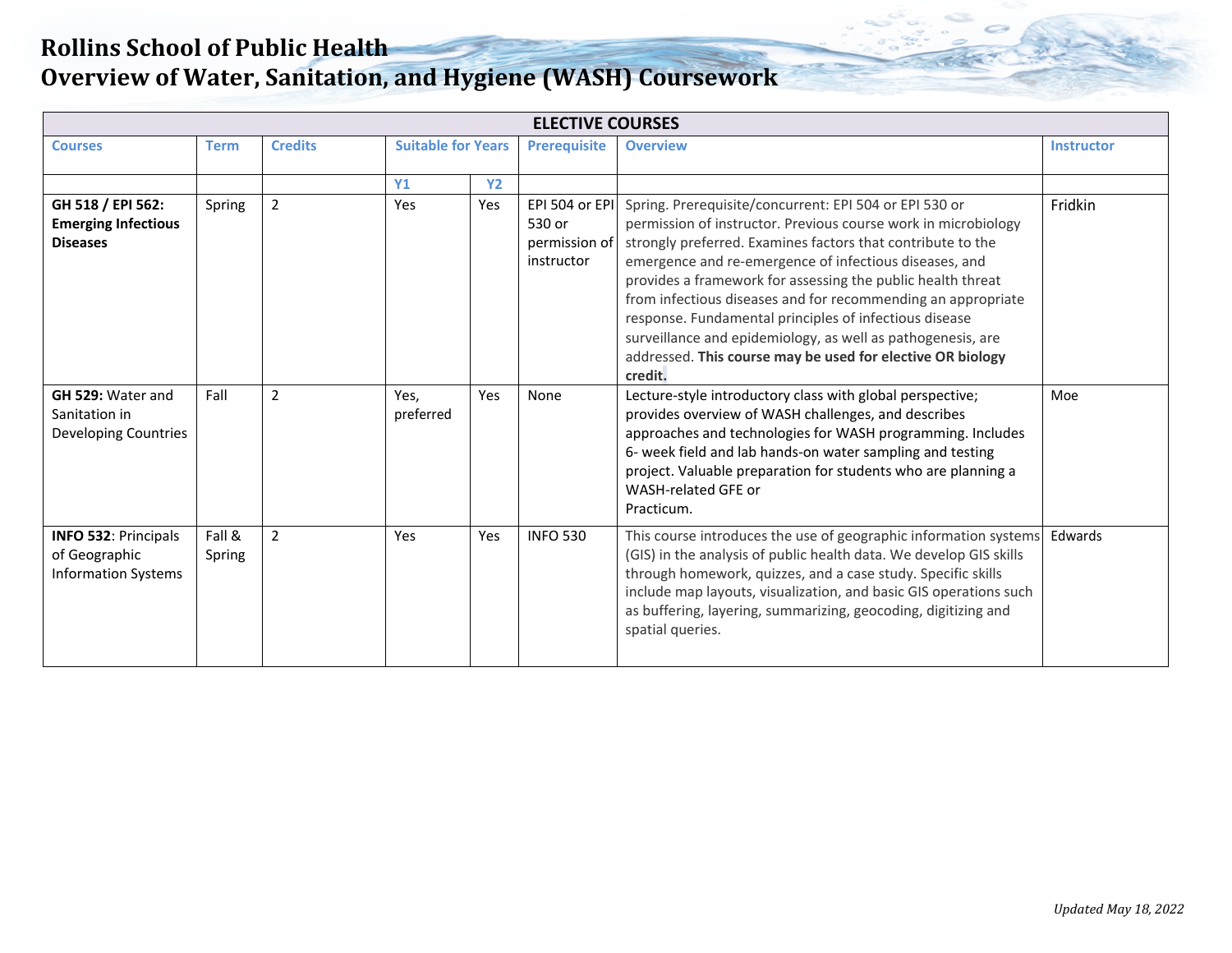| <b>ELECTIVE COURSES</b>                                                    |                  |                |                                                  |           |                                                         |                                                                                                                                                                                                                                                                                                                                                                                                                                                                                                                                                                                    |                   |  |  |  |  |
|----------------------------------------------------------------------------|------------------|----------------|--------------------------------------------------|-----------|---------------------------------------------------------|------------------------------------------------------------------------------------------------------------------------------------------------------------------------------------------------------------------------------------------------------------------------------------------------------------------------------------------------------------------------------------------------------------------------------------------------------------------------------------------------------------------------------------------------------------------------------------|-------------------|--|--|--|--|
| <b>Courses</b>                                                             | <b>Term</b>      | <b>Credits</b> | <b>Suitable for Years</b><br><b>Prerequisite</b> |           |                                                         | <b>Overview</b>                                                                                                                                                                                                                                                                                                                                                                                                                                                                                                                                                                    | <b>Instructor</b> |  |  |  |  |
|                                                                            |                  |                | <b>Y1</b>                                        | <b>Y2</b> |                                                         |                                                                                                                                                                                                                                                                                                                                                                                                                                                                                                                                                                                    |                   |  |  |  |  |
| GH 518 / EPI 562:<br><b>Emerging Infectious</b><br><b>Diseases</b>         | Spring           | $\overline{2}$ | Yes                                              | Yes       | EPI 504 or EPI<br>530 or<br>permission of<br>instructor | Spring. Prerequisite/concurrent: EPI 504 or EPI 530 or<br>permission of instructor. Previous course work in microbiology<br>strongly preferred. Examines factors that contribute to the<br>emergence and re-emergence of infectious diseases, and<br>provides a framework for assessing the public health threat<br>from infectious diseases and for recommending an appropriate<br>response. Fundamental principles of infectious disease<br>surveillance and epidemiology, as well as pathogenesis, are<br>addressed. This course may be used for elective OR biology<br>credit. | Fridkin           |  |  |  |  |
| GH 529: Water and<br>Sanitation in<br>Developing Countries                 | Fall             | $\overline{2}$ | Yes,<br>preferred                                | Yes       | None                                                    | Lecture-style introductory class with global perspective;<br>provides overview of WASH challenges, and describes<br>approaches and technologies for WASH programming. Includes<br>6- week field and lab hands-on water sampling and testing<br>project. Valuable preparation for students who are planning a<br>WASH-related GFE or<br>Practicum.                                                                                                                                                                                                                                  | Moe               |  |  |  |  |
| <b>INFO 532: Principals</b><br>of Geographic<br><b>Information Systems</b> | Fall &<br>Spring | $\overline{2}$ | Yes                                              | Yes       | <b>INFO 530</b>                                         | This course introduces the use of geographic information systems<br>(GIS) in the analysis of public health data. We develop GIS skills<br>through homework, quizzes, and a case study. Specific skills<br>include map layouts, visualization, and basic GIS operations such<br>as buffering, layering, summarizing, geocoding, digitizing and<br>spatial queries.                                                                                                                                                                                                                  | Edwards           |  |  |  |  |